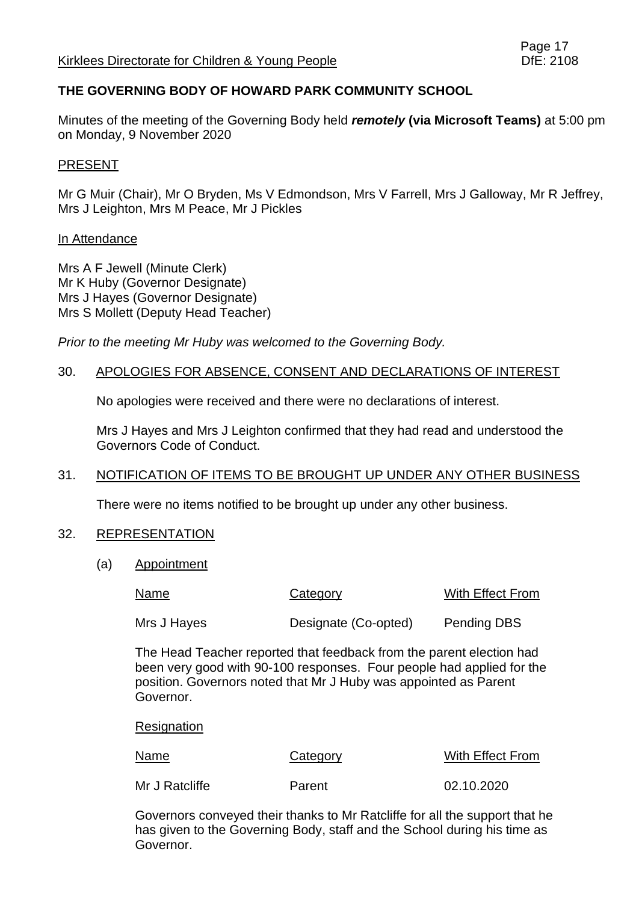# **THE GOVERNING BODY OF HOWARD PARK COMMUNITY SCHOOL**

Minutes of the meeting of the Governing Body held *remotely* **(via Microsoft Teams)** at 5:00 pm on Monday, 9 November 2020

#### PRESENT

Mr G Muir (Chair), Mr O Bryden, Ms V Edmondson, Mrs V Farrell, Mrs J Galloway, Mr R Jeffrey, Mrs J Leighton, Mrs M Peace, Mr J Pickles

#### In Attendance

Mrs A F Jewell (Minute Clerk) Mr K Huby (Governor Designate) Mrs J Hayes (Governor Designate) Mrs S Mollett (Deputy Head Teacher)

*Prior to the meeting Mr Huby was welcomed to the Governing Body.*

#### 30. APOLOGIES FOR ABSENCE, CONSENT AND DECLARATIONS OF INTEREST

No apologies were received and there were no declarations of interest.

Mrs J Hayes and Mrs J Leighton confirmed that they had read and understood the Governors Code of Conduct.

## 31. NOTIFICATION OF ITEMS TO BE BROUGHT UP UNDER ANY OTHER BUSINESS

There were no items notified to be brought up under any other business.

#### 32. REPRESENTATION

(a) Appointment

| Name        | Category             | With Effect From   |
|-------------|----------------------|--------------------|
| Mrs J Hayes | Designate (Co-opted) | <b>Pending DBS</b> |

The Head Teacher reported that feedback from the parent election had been very good with 90-100 responses. Four people had applied for the position. Governors noted that Mr J Huby was appointed as Parent Governor.

**Resignation** 

| Name           | Category | With Effect From |
|----------------|----------|------------------|
| Mr J Ratcliffe | Parent   | 02.10.2020       |

Governors conveyed their thanks to Mr Ratcliffe for all the support that he has given to the Governing Body, staff and the School during his time as Governor.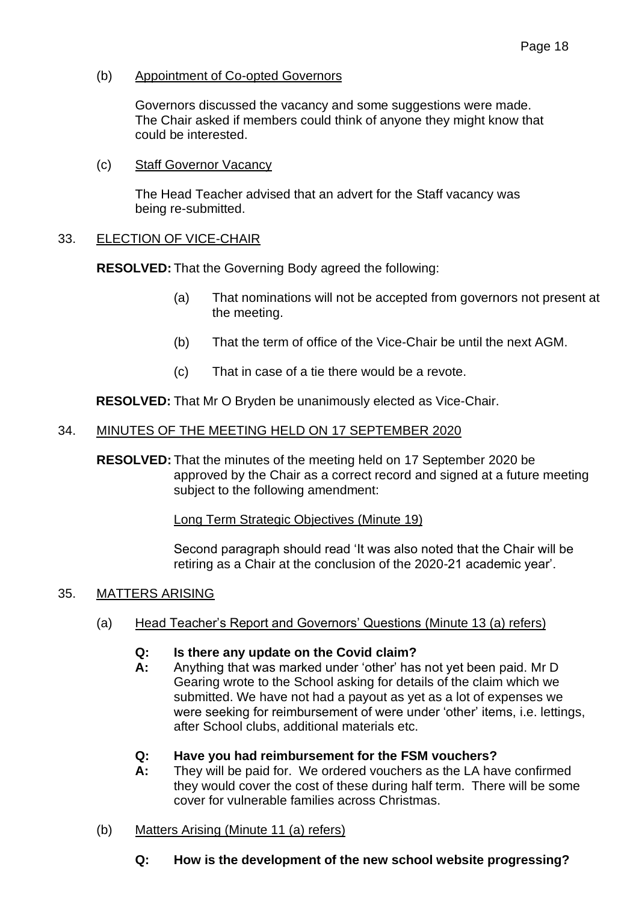(b) Appointment of Co-opted Governors

Governors discussed the vacancy and some suggestions were made. The Chair asked if members could think of anyone they might know that could be interested.

(c) Staff Governor Vacancy

The Head Teacher advised that an advert for the Staff vacancy was being re-submitted.

# 33. ELECTION OF VICE-CHAIR

**RESOLVED:** That the Governing Body agreed the following:

- (a) That nominations will not be accepted from governors not present at the meeting.
- (b) That the term of office of the Vice-Chair be until the next AGM.
- (c) That in case of a tie there would be a revote.

**RESOLVED:** That Mr O Bryden be unanimously elected as Vice-Chair.

# 34. MINUTES OF THE MEETING HELD ON 17 SEPTEMBER 2020

**RESOLVED:** That the minutes of the meeting held on 17 September 2020 be approved by the Chair as a correct record and signed at a future meeting subject to the following amendment:

Long Term Strategic Objectives (Minute 19)

Second paragraph should read 'It was also noted that the Chair will be retiring as a Chair at the conclusion of the 2020-21 academic year'.

## 35. MATTERS ARISING

(a) Head Teacher's Report and Governors' Questions (Minute 13 (a) refers)

## **Q: Is there any update on the Covid claim?**

**A:** Anything that was marked under 'other' has not yet been paid. Mr D Gearing wrote to the School asking for details of the claim which we submitted. We have not had a payout as yet as a lot of expenses we were seeking for reimbursement of were under 'other' items, i.e. lettings, after School clubs, additional materials etc.

## **Q: Have you had reimbursement for the FSM vouchers?**

- **A:** They will be paid for. We ordered vouchers as the LA have confirmed they would cover the cost of these during half term. There will be some cover for vulnerable families across Christmas.
- (b) Matters Arising (Minute 11 (a) refers)
	- **Q: How is the development of the new school website progressing?**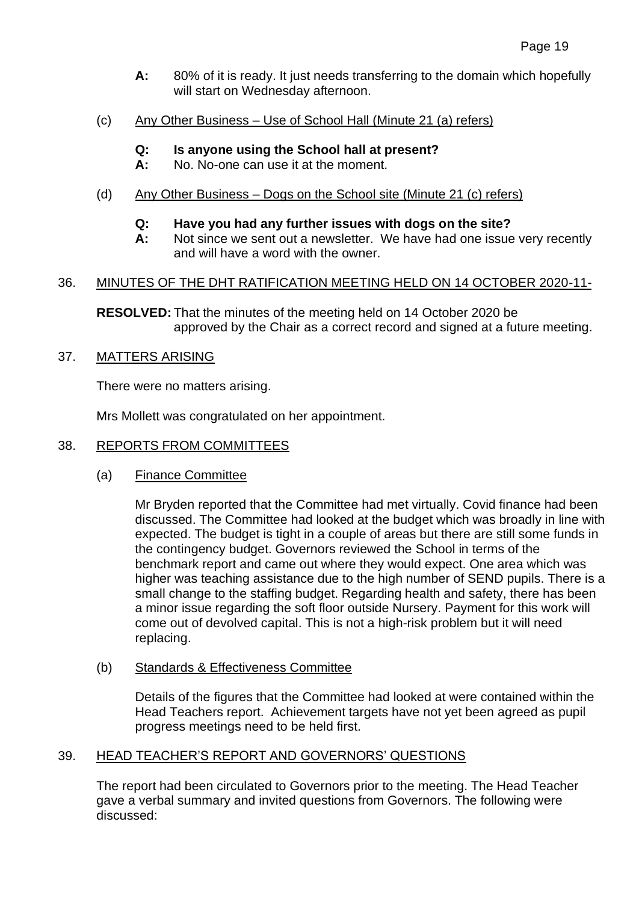- **A:** 80% of it is ready. It just needs transferring to the domain which hopefully will start on Wednesday afternoon.
- (c) Any Other Business Use of School Hall (Minute 21 (a) refers)
	- **Q: Is anyone using the School hall at present?**
	- **A:** No. No-one can use it at the moment.
- (d) Any Other Business Dogs on the School site (Minute 21 (c) refers)
	- **Q: Have you had any further issues with dogs on the site?**
	- **A:** Not since we sent out a newsletter. We have had one issue very recently and will have a word with the owner.

# 36. MINUTES OF THE DHT RATIFICATION MEETING HELD ON 14 OCTOBER 2020-11-

**RESOLVED:** That the minutes of the meeting held on 14 October 2020 be approved by the Chair as a correct record and signed at a future meeting.

# 37. MATTERS ARISING

There were no matters arising.

Mrs Mollett was congratulated on her appointment.

## 38. REPORTS FROM COMMITTEES

(a) Finance Committee

Mr Bryden reported that the Committee had met virtually. Covid finance had been discussed. The Committee had looked at the budget which was broadly in line with expected. The budget is tight in a couple of areas but there are still some funds in the contingency budget. Governors reviewed the School in terms of the benchmark report and came out where they would expect. One area which was higher was teaching assistance due to the high number of SEND pupils. There is a small change to the staffing budget. Regarding health and safety, there has been a minor issue regarding the soft floor outside Nursery. Payment for this work will come out of devolved capital. This is not a high-risk problem but it will need replacing.

(b) Standards & Effectiveness Committee

Details of the figures that the Committee had looked at were contained within the Head Teachers report. Achievement targets have not yet been agreed as pupil progress meetings need to be held first.

# 39. HEAD TEACHER'S REPORT AND GOVERNORS' QUESTIONS

The report had been circulated to Governors prior to the meeting. The Head Teacher gave a verbal summary and invited questions from Governors. The following were discussed: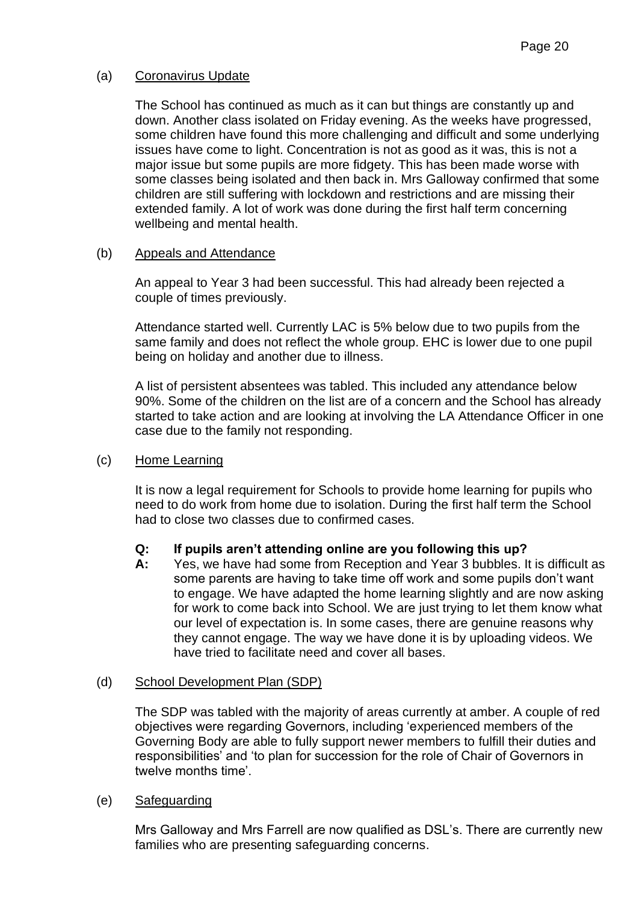# (a) Coronavirus Update

The School has continued as much as it can but things are constantly up and down. Another class isolated on Friday evening. As the weeks have progressed, some children have found this more challenging and difficult and some underlying issues have come to light. Concentration is not as good as it was, this is not a major issue but some pupils are more fidgety. This has been made worse with some classes being isolated and then back in. Mrs Galloway confirmed that some children are still suffering with lockdown and restrictions and are missing their extended family. A lot of work was done during the first half term concerning wellbeing and mental health.

## (b) Appeals and Attendance

An appeal to Year 3 had been successful. This had already been rejected a couple of times previously.

Attendance started well. Currently LAC is 5% below due to two pupils from the same family and does not reflect the whole group. EHC is lower due to one pupil being on holiday and another due to illness.

A list of persistent absentees was tabled. This included any attendance below 90%. Some of the children on the list are of a concern and the School has already started to take action and are looking at involving the LA Attendance Officer in one case due to the family not responding.

## (c) Home Learning

It is now a legal requirement for Schools to provide home learning for pupils who need to do work from home due to isolation. During the first half term the School had to close two classes due to confirmed cases.

## **Q: If pupils aren't attending online are you following this up?**

**A:** Yes, we have had some from Reception and Year 3 bubbles. It is difficult as some parents are having to take time off work and some pupils don't want to engage. We have adapted the home learning slightly and are now asking for work to come back into School. We are just trying to let them know what our level of expectation is. In some cases, there are genuine reasons why they cannot engage. The way we have done it is by uploading videos. We have tried to facilitate need and cover all bases.

## (d) School Development Plan (SDP)

The SDP was tabled with the majority of areas currently at amber. A couple of red objectives were regarding Governors, including 'experienced members of the Governing Body are able to fully support newer members to fulfill their duties and responsibilities' and 'to plan for succession for the role of Chair of Governors in twelve months time'.

## (e) Safeguarding

Mrs Galloway and Mrs Farrell are now qualified as DSL's. There are currently new families who are presenting safeguarding concerns.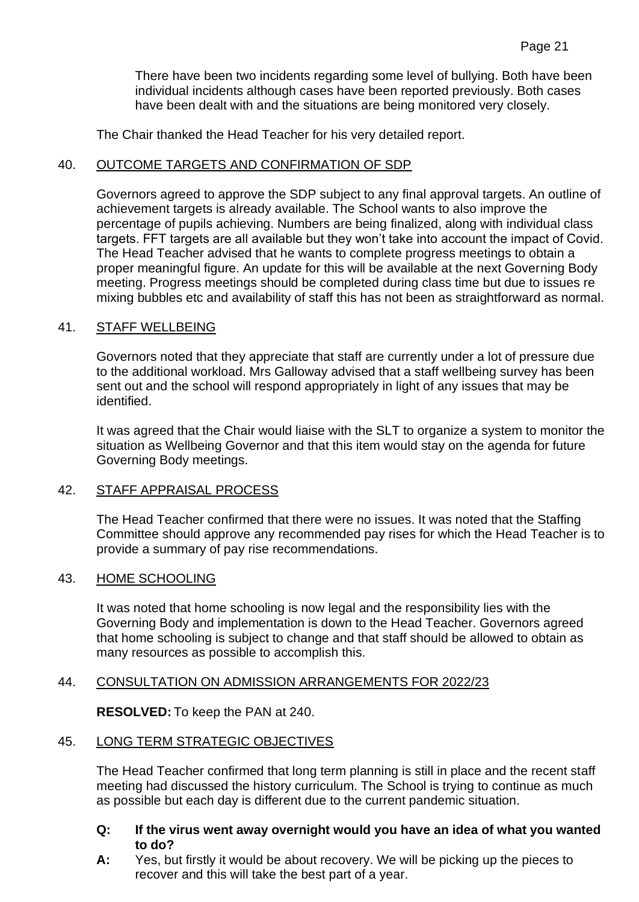There have been two incidents regarding some level of bullying. Both have been individual incidents although cases have been reported previously. Both cases have been dealt with and the situations are being monitored very closely.

The Chair thanked the Head Teacher for his very detailed report.

#### 40. OUTCOME TARGETS AND CONFIRMATION OF SDP

Governors agreed to approve the SDP subject to any final approval targets. An outline of achievement targets is already available. The School wants to also improve the percentage of pupils achieving. Numbers are being finalized, along with individual class targets. FFT targets are all available but they won't take into account the impact of Covid. The Head Teacher advised that he wants to complete progress meetings to obtain a proper meaningful figure. An update for this will be available at the next Governing Body meeting. Progress meetings should be completed during class time but due to issues re mixing bubbles etc and availability of staff this has not been as straightforward as normal.

#### 41. STAFF WELLBEING

Governors noted that they appreciate that staff are currently under a lot of pressure due to the additional workload. Mrs Galloway advised that a staff wellbeing survey has been sent out and the school will respond appropriately in light of any issues that may be identified.

It was agreed that the Chair would liaise with the SLT to organize a system to monitor the situation as Wellbeing Governor and that this item would stay on the agenda for future Governing Body meetings.

#### 42. STAFF APPRAISAL PROCESS

The Head Teacher confirmed that there were no issues. It was noted that the Staffing Committee should approve any recommended pay rises for which the Head Teacher is to provide a summary of pay rise recommendations.

#### 43. HOME SCHOOLING

It was noted that home schooling is now legal and the responsibility lies with the Governing Body and implementation is down to the Head Teacher. Governors agreed that home schooling is subject to change and that staff should be allowed to obtain as many resources as possible to accomplish this.

## 44. CONSULTATION ON ADMISSION ARRANGEMENTS FOR 2022/23

**RESOLVED:** To keep the PAN at 240.

## 45. LONG TERM STRATEGIC OBJECTIVES

The Head Teacher confirmed that long term planning is still in place and the recent staff meeting had discussed the history curriculum. The School is trying to continue as much as possible but each day is different due to the current pandemic situation.

## **Q: If the virus went away overnight would you have an idea of what you wanted to do?**

**A:** Yes, but firstly it would be about recovery. We will be picking up the pieces to recover and this will take the best part of a year.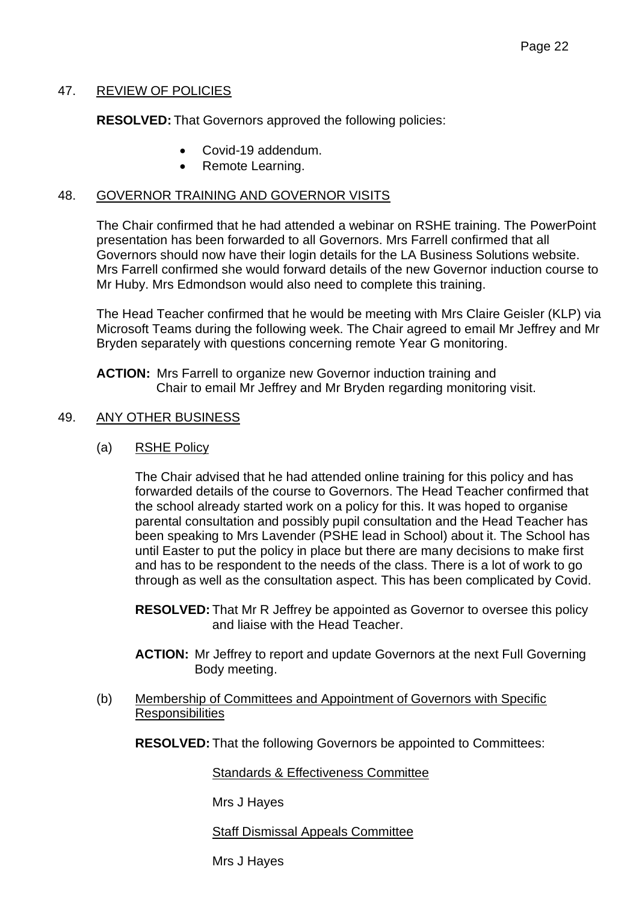# 47. REVIEW OF POLICIES

**RESOLVED:** That Governors approved the following policies:

- Covid-19 addendum.
- Remote Learning.

## 48. GOVERNOR TRAINING AND GOVERNOR VISITS

The Chair confirmed that he had attended a webinar on RSHE training. The PowerPoint presentation has been forwarded to all Governors. Mrs Farrell confirmed that all Governors should now have their login details for the LA Business Solutions website. Mrs Farrell confirmed she would forward details of the new Governor induction course to Mr Huby. Mrs Edmondson would also need to complete this training.

The Head Teacher confirmed that he would be meeting with Mrs Claire Geisler (KLP) via Microsoft Teams during the following week. The Chair agreed to email Mr Jeffrey and Mr Bryden separately with questions concerning remote Year G monitoring.

**ACTION:** Mrs Farrell to organize new Governor induction training and Chair to email Mr Jeffrey and Mr Bryden regarding monitoring visit.

#### 49. ANY OTHER BUSINESS

(a) RSHE Policy

The Chair advised that he had attended online training for this policy and has forwarded details of the course to Governors. The Head Teacher confirmed that the school already started work on a policy for this. It was hoped to organise parental consultation and possibly pupil consultation and the Head Teacher has been speaking to Mrs Lavender (PSHE lead in School) about it. The School has until Easter to put the policy in place but there are many decisions to make first and has to be respondent to the needs of the class. There is a lot of work to go through as well as the consultation aspect. This has been complicated by Covid.

**RESOLVED:** That Mr R Jeffrey be appointed as Governor to oversee this policy and liaise with the Head Teacher.

- **ACTION:** Mr Jeffrey to report and update Governors at the next Full Governing Body meeting.
- (b) Membership of Committees and Appointment of Governors with Specific **Responsibilities**

**RESOLVED:** That the following Governors be appointed to Committees:

Standards & Effectiveness Committee

Mrs J Hayes

Staff Dismissal Appeals Committee

Mrs J Hayes